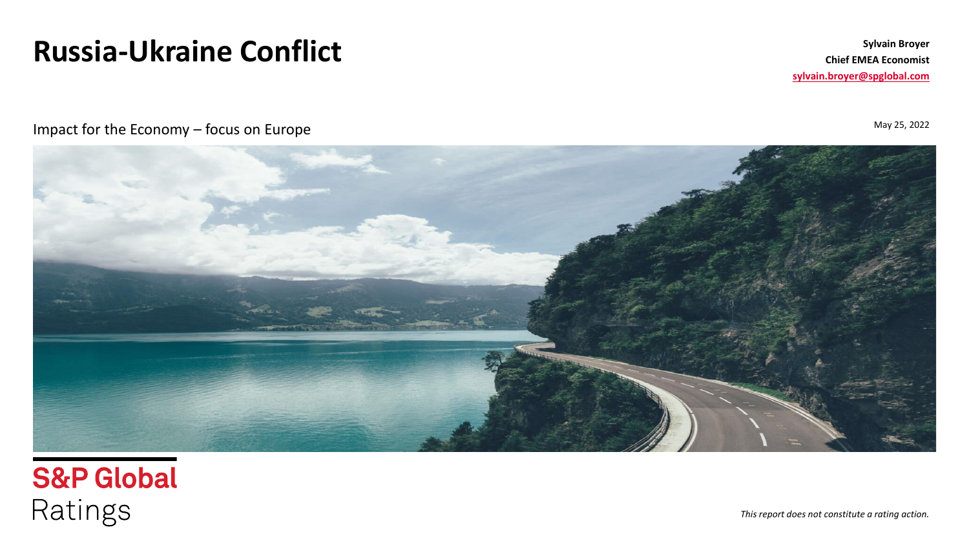# **Russia-Ukraine Conflict**

**Sylvain Broyer Chief EMEA Economist [sylvain.broyer@spglobal.com](mailto:Sylvain.broyer@spglobal.com)**

May 25, 2022

Impact for the Economy – focus on Europe



**S&P Global** Ratings

*This report does not constitute a rating action.*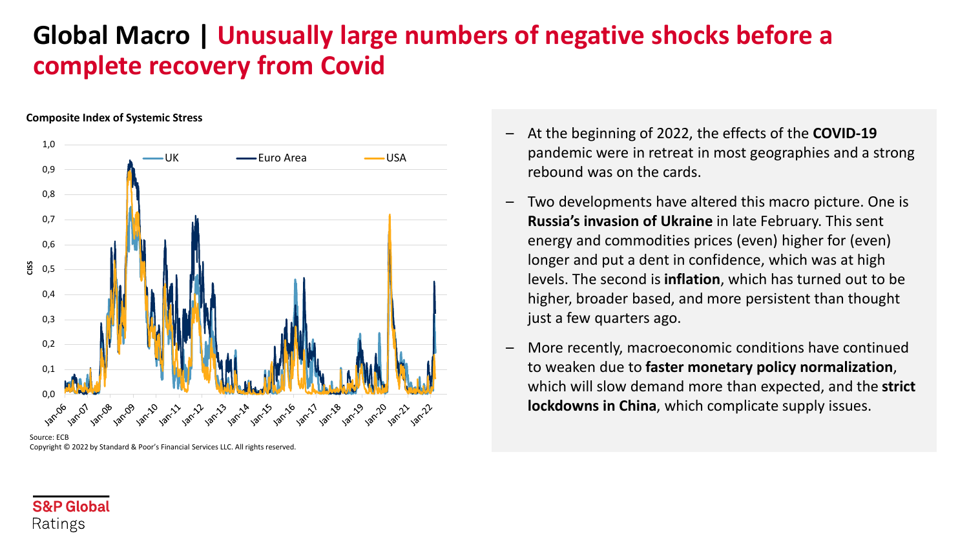# **Global Macro | Unusually large numbers of negative shocks before a complete recovery from Covid**

#### **Composite Index of Systemic Stress**



Source: ECB Copyright © 2022 by Standard & Poor's Financial Services LLC. All rights reserved.

- At the beginning of 2022, the effects of the **COVID-19**  pandemic were in retreat in most geographies and a strong rebound was on the cards.
- Two developments have altered this macro picture. One is **Russia's invasion of Ukraine** in late February. This sent energy and commodities prices (even) higher for (even) longer and put a dent in confidence, which was at high levels. The second is **inflation**, which has turned out to be higher, broader based, and more persistent than thought just a few quarters ago.
- More recently, macroeconomic conditions have continued to weaken due to **faster monetary policy normalization**, which will slow demand more than expected, and the **strict lockdowns in China**, which complicate supply issues.

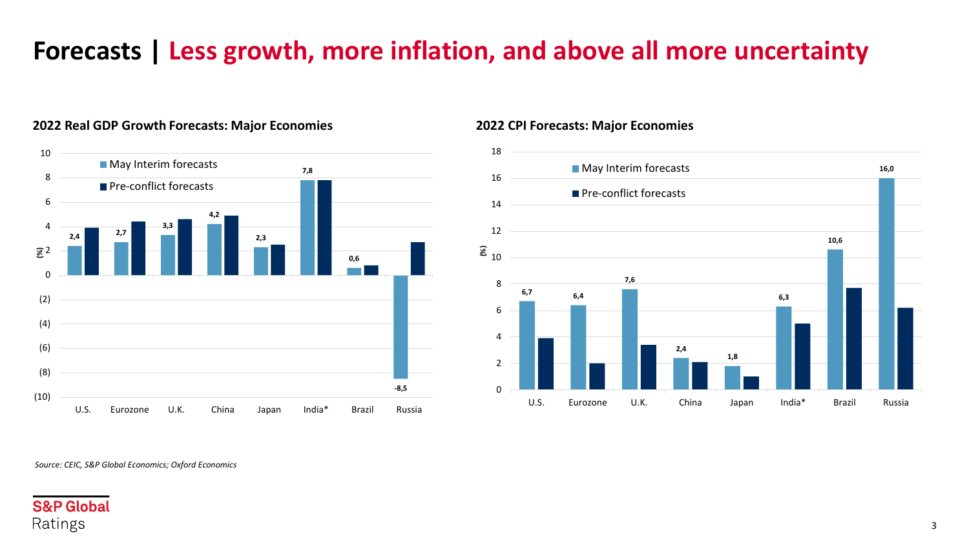# **Forecasts | Less growth, more inflation, and above all more uncertainty**



### **2022 Real GDP Growth Forecasts: Major Economies 2022 CPI Forecasts: Major Economies**



*Source: CEIC, S&P Global Economics; Oxford Economics*

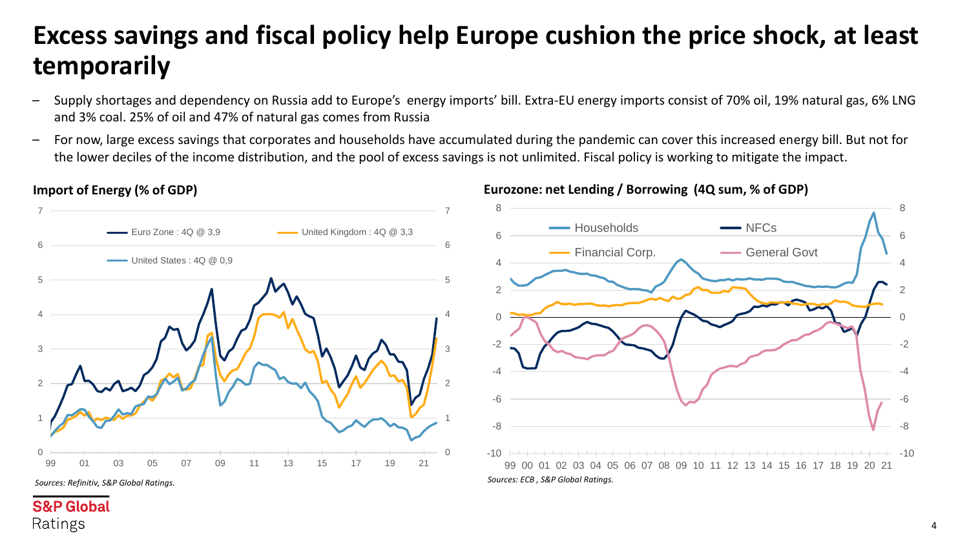# **Excess savings and fiscal policy help Europe cushion the price shock, at least temporarily**

- Supply shortages and dependency on Russia add to Europe's energy imports' bill. Extra-EU energy imports consist of 70% oil, 19% natural gas, 6% LNG and 3% coal. 25% of oil and 47% of natural gas comes from Russia
- For now, large excess savings that corporates and households have accumulated during the pandemic can cover this increased energy bill. But not for the lower deciles of the income distribution, and the pool of excess savings is not unlimited. Fiscal policy is working to mitigate the impact.



*Sources: Refinitiv, S&P Global Ratings.*

**S&P Global** 

Ratings

### **Import of Energy (% of GDP) Eurozone: net Lending / Borrowing (4Q sum, % of GDP)**

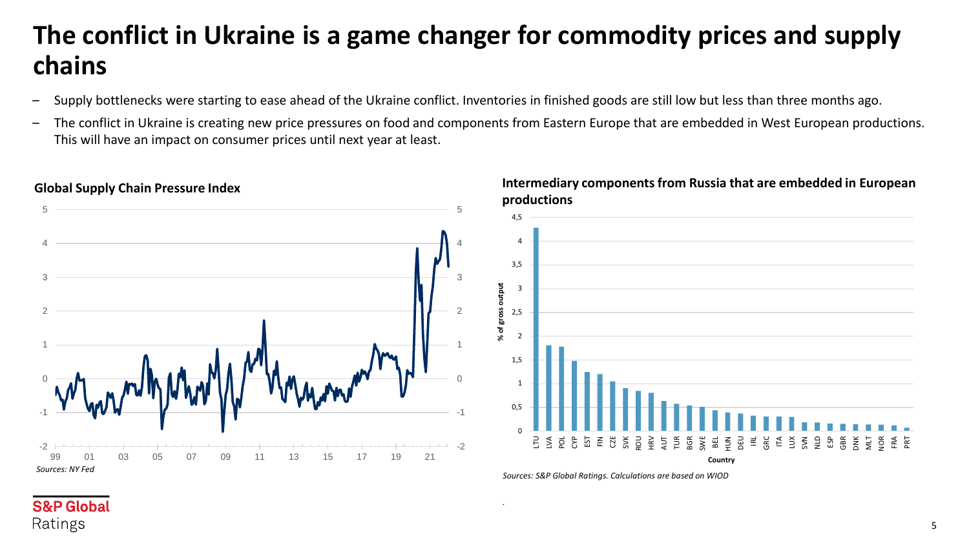# **The conflict in Ukraine is a game changer for commodity prices and supply chains**

- Supply bottlenecks were starting to ease ahead of the Ukraine conflict. Inventories in finished goods are still low but less than three months ago.
- The conflict in Ukraine is creating new price pressures on food and components from Eastern Europe that are embedded in West European productions. This will have an impact on consumer prices until next year at least.



*.*

# **Global Supply Chain Pressure Index Intermediary components from Russia that are embedded in European**

*Sources: S&P Global Ratings. Calculations are based on WIOD*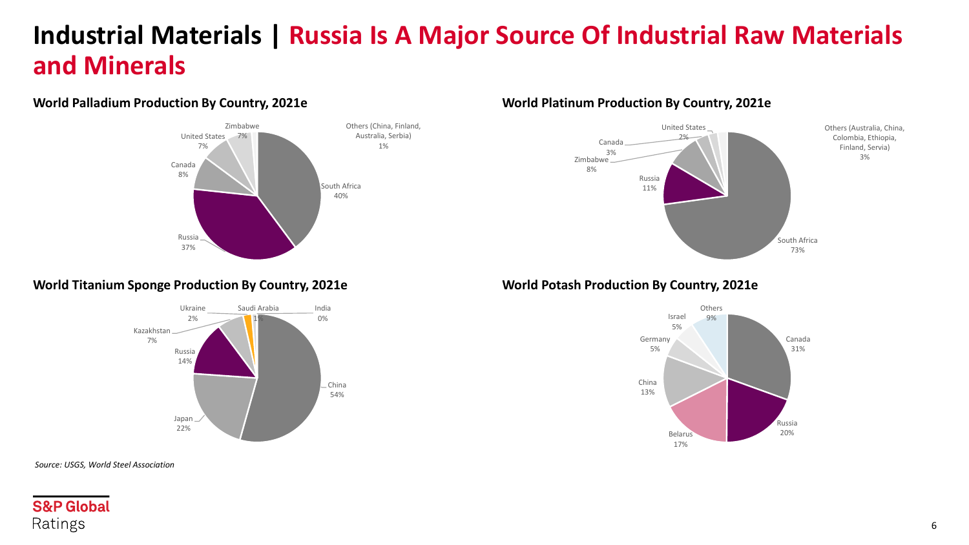# **Industrial Materials | Russia Is A Major Source Of Industrial Raw Materials and Minerals**



### **World Palladium Production By Country, 2021e World Platinum Production By Country, 2021e**



### **World Titanium Sponge Production By Country, 2021e World Potash Production By Country, 2021e**





*Source: USGS, World Steel Association*

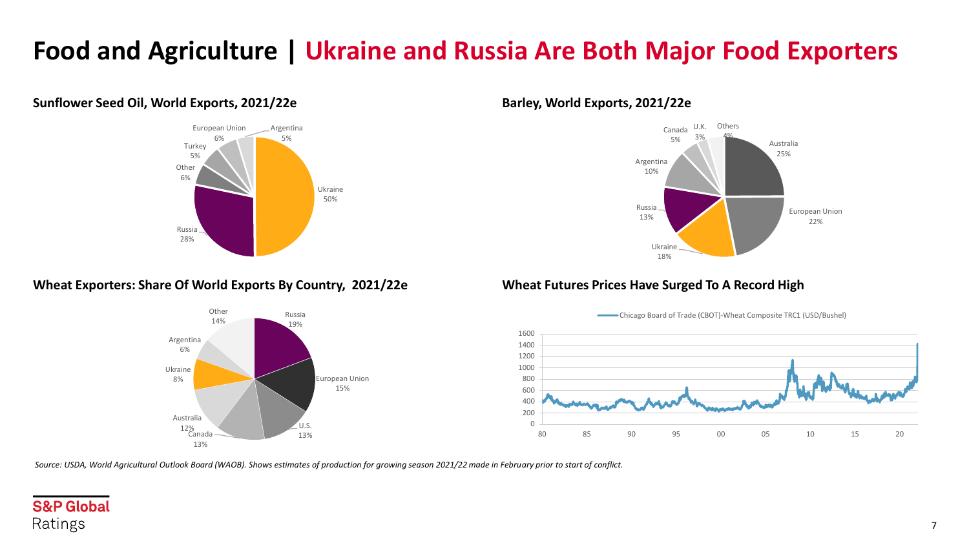# **Food and Agriculture | Ukraine and Russia Are Both Major Food Exporters**

### **Sunflower Seed Oil, World Exports, 2021/22e Barley, World Exports, 2021/22e**



### **Wheat Exporters: Share Of World Exports By Country, 2021/22e Wheat Futures Prices Have Surged To A Record High**







*Source: USDA, World Agricultural Outlook Board (WAOB). Shows estimates of production for growing season 2021/22 made in February prior to start of conflict.*

## **S&P Global** Ratings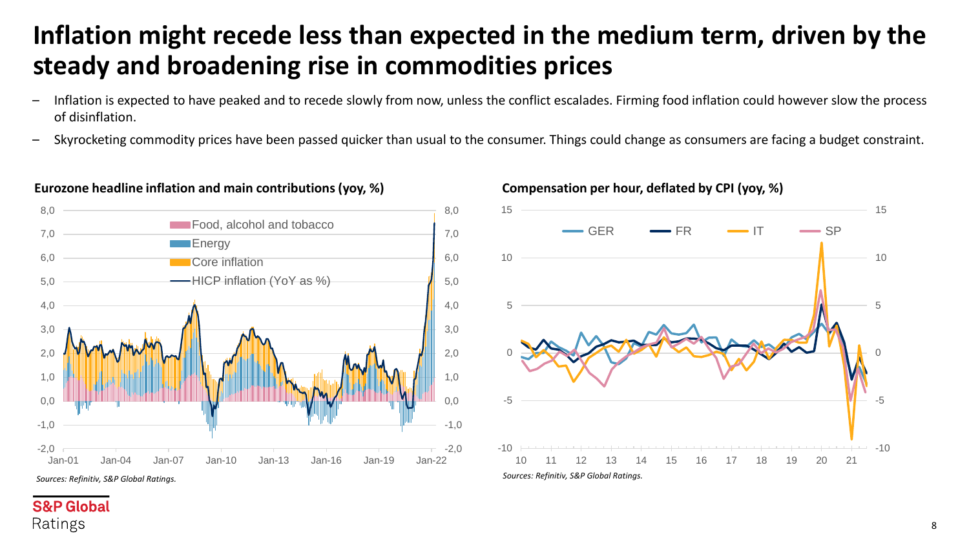# **Inflation might recede less than expected in the medium term, driven by the steady and broadening rise in commodities prices**

- Inflation is expected to have peaked and to recede slowly from now, unless the conflict escalades. Firming food inflation could however slow the process of disinflation.
- Skyrocketing commodity prices have been passed quicker than usual to the consumer. Things could change as consumers are facing a budget constraint.



### Eurozone headline inflation and main contributions (yoy, %) Compensation per hour, deflated by CPI (yoy, %)



### **S&P Global** Ratings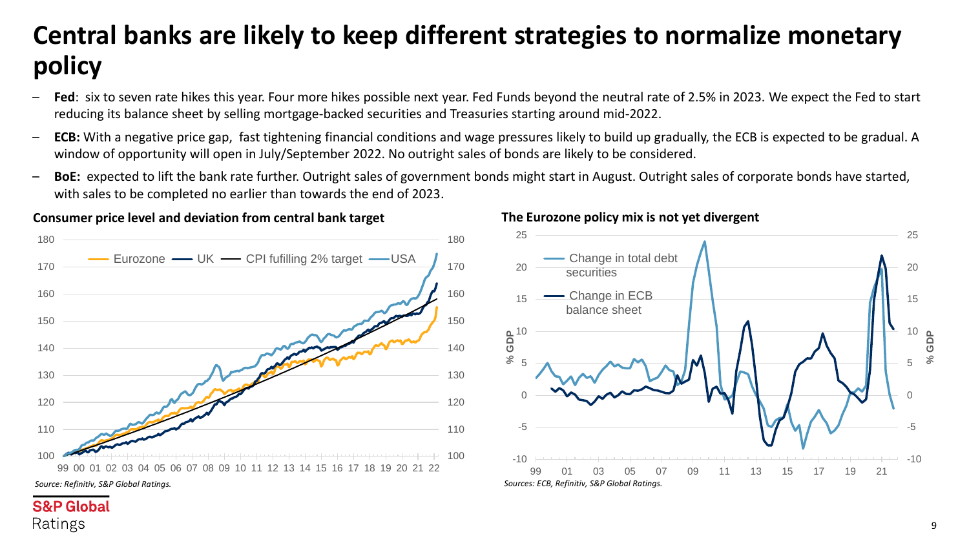# **Central banks are likely to keep different strategies to normalize monetary policy**

- **Fed**: six to seven rate hikes this year. Four more hikes possible next year. Fed Funds beyond the neutral rate of 2.5% in 2023. We expect the Fed to start reducing its balance sheet by selling mortgage-backed securities and Treasuries starting around mid-2022.
- **ECB:** With a negative price gap, fast tightening financial conditions and wage pressures likely to build up gradually, the ECB is expected to be gradual. A window of opportunity will open in July/September 2022. No outright sales of bonds are likely to be considered.
- **BoE:** expected to lift the bank rate further. Outright sales of government bonds might start in August. Outright sales of corporate bonds have started, with sales to be completed no earlier than towards the end of 2023.



### **Consumer price level and deviation from central bank target**

Ratings

### **The Eurozone policy mix is not yet divergent**



9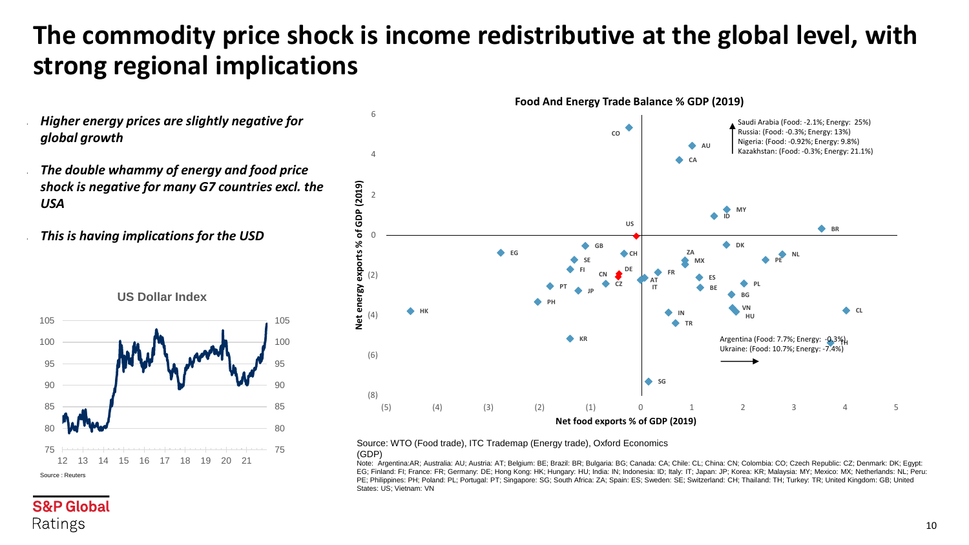# **The commodity price shock is income redistributive at the global level, with strong regional implications**

- *Higher energy prices are slightly negative for global growth*
- *The double whammy of energy and food price shock is negative for many G7 countries excl. the USA*

• *This is having implications for the USD* 





### Source: WTO (Food trade), ITC Trademap (Energy trade), Oxford Economics

(GDP)

Note: Argentina:AR; Australia: AU; Austria: AT; Belgium: BE; Brazil: BR; Bulgaria: BG; Canada: CA; Chile: CL; China: CN; Colombia: CO; Czech Republic: CZ; Denmark: DK; Egypt: EG; Finland: FI; France: FR; Germany: DE; Hong Kong: HK; Hungary: HU; India: IN; Indonesia: ID; Italy: IT; Japan: JP; Korea: KR; Malaysia: MY; Mexico: MX; Netherlands: NL; Peru: PE; Philippines: PH; Poland: PL; Portugal: PT; Singapore: SG; South Africa: ZA; Spain: ES; Sweden: SE; Switzerland: CH; Thailand: TH; Turkey: TR; United Kingdom: GB; United States: US; Vietnam: VN

**S&P Global** 

Ratings